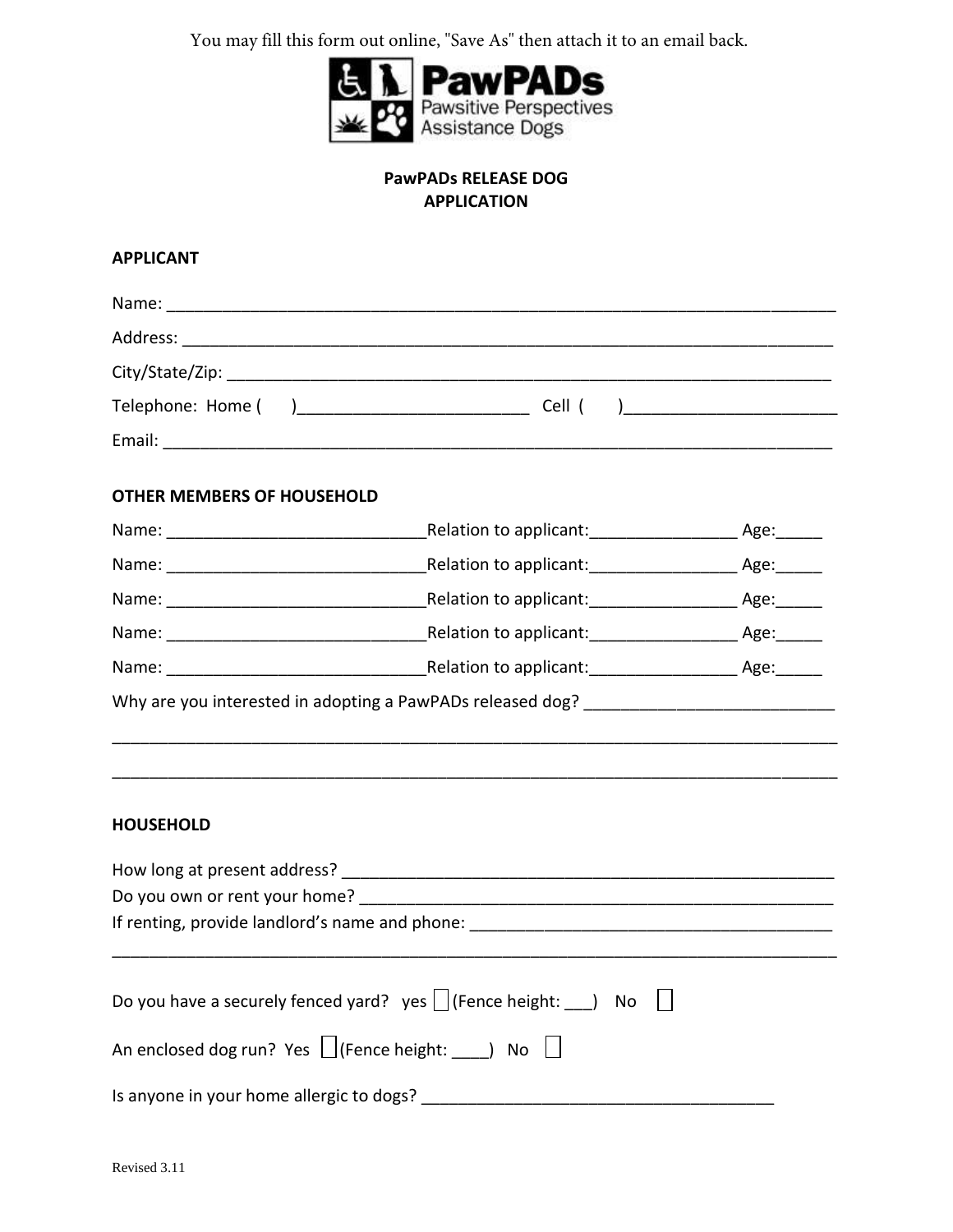You may fill this form out online, "Save As" then attach it to an email back.



## **PawPADs RELEASE DOG APPLICATION**

## **APPLICANT**

| <b>OTHER MEMBERS OF HOUSEHOLD</b>                                 |                                                                                   |  |
|-------------------------------------------------------------------|-----------------------------------------------------------------------------------|--|
|                                                                   |                                                                                   |  |
|                                                                   |                                                                                   |  |
|                                                                   |                                                                                   |  |
|                                                                   |                                                                                   |  |
|                                                                   |                                                                                   |  |
| <b>HOUSEHOLD</b>                                                  |                                                                                   |  |
|                                                                   |                                                                                   |  |
|                                                                   |                                                                                   |  |
|                                                                   |                                                                                   |  |
|                                                                   | Do you have a securely fenced yard? yes $\vert$ (Fence height: ) No $\vert \vert$ |  |
| An enclosed dog run? Yes $\Box$ (Fence height: $\Box$ ) No $\Box$ |                                                                                   |  |
|                                                                   |                                                                                   |  |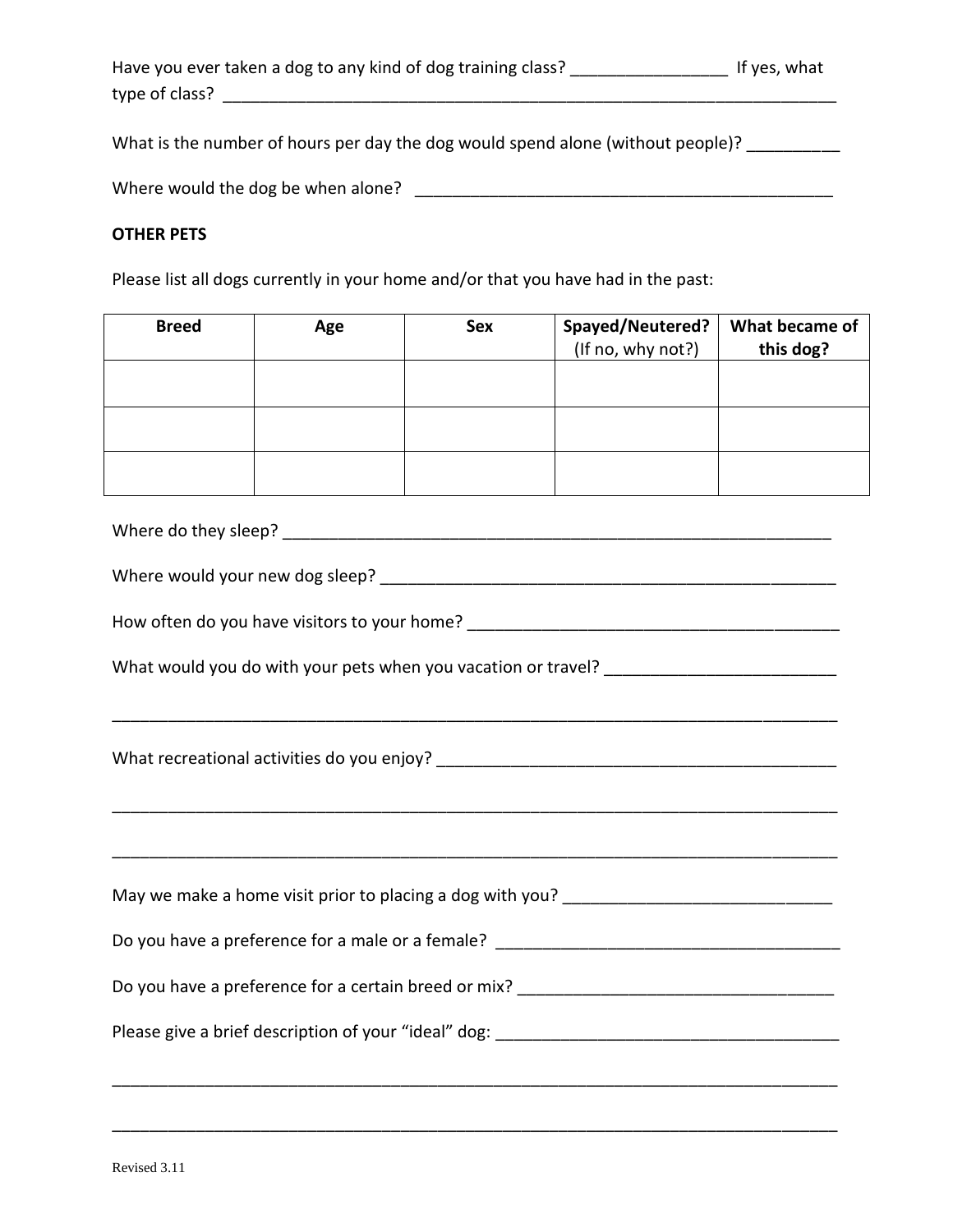| Have you ever taken a dog to any kind of dog training class? | If yes, what |
|--------------------------------------------------------------|--------------|
| type of class?                                               |              |

What is the number of hours per day the dog would spend alone (without people)? \_\_\_\_\_\_\_\_

Where would the dog be when alone? \_\_\_\_\_\_\_\_\_\_\_\_\_\_\_\_\_\_\_\_\_\_\_\_\_\_\_\_\_\_\_\_\_\_\_\_\_\_\_\_\_\_\_\_\_

## **OTHER PETS**

Please list all dogs currently in your home and/or that you have had in the past:

| <b>Breed</b> | Age | <b>Sex</b> | Spayed/Neutered?<br>(If no, why not?) | What became of<br>this dog? |
|--------------|-----|------------|---------------------------------------|-----------------------------|
|              |     |            |                                       |                             |
|              |     |            |                                       |                             |
|              |     |            |                                       |                             |

Where do they sleep?

| Where would your new dog sleep? |
|---------------------------------|
|---------------------------------|

\_\_\_\_\_\_\_\_\_\_\_\_\_\_\_\_\_\_\_\_\_\_\_\_\_\_\_\_\_\_\_\_\_\_\_\_\_\_\_\_\_\_\_\_\_\_\_\_\_\_\_\_\_\_\_\_\_\_\_\_\_\_\_\_\_\_\_\_\_\_\_\_\_\_\_\_\_\_

\_\_\_\_\_\_\_\_\_\_\_\_\_\_\_\_\_\_\_\_\_\_\_\_\_\_\_\_\_\_\_\_\_\_\_\_\_\_\_\_\_\_\_\_\_\_\_\_\_\_\_\_\_\_\_\_\_\_\_\_\_\_\_\_\_\_\_\_\_\_\_\_\_\_\_\_\_\_

\_\_\_\_\_\_\_\_\_\_\_\_\_\_\_\_\_\_\_\_\_\_\_\_\_\_\_\_\_\_\_\_\_\_\_\_\_\_\_\_\_\_\_\_\_\_\_\_\_\_\_\_\_\_\_\_\_\_\_\_\_\_\_\_\_\_\_\_\_\_\_\_\_\_\_\_\_\_

How often do you have visitors to your home? \_\_\_\_\_\_\_\_\_\_\_\_\_\_\_\_\_\_\_\_\_\_\_\_\_\_\_\_\_\_\_\_\_\_\_\_\_\_\_\_

| What would you do with your pets when you vacation or travel? |
|---------------------------------------------------------------|
|---------------------------------------------------------------|

What recreational activities do you enjoy? \_\_\_\_\_\_\_\_\_\_\_\_\_\_\_\_\_\_\_\_\_\_\_\_\_\_\_\_\_\_\_\_\_\_\_\_\_\_\_\_\_\_\_

May we make a home visit prior to placing a dog with you? \_\_\_\_\_\_\_\_\_\_\_\_\_\_\_\_\_\_\_\_\_\_

Do you have a preference for a male or a female? \_\_\_\_\_\_\_\_\_\_\_\_\_\_\_\_\_\_\_\_\_\_\_\_\_\_\_\_\_\_\_

Do you have a preference for a certain breed or mix? \_\_\_\_\_\_\_\_\_\_\_\_\_\_\_\_\_\_\_\_\_\_\_\_\_\_\_\_\_\_\_\_\_\_

Please give a brief description of your "ideal" dog: \_\_\_\_\_\_\_\_\_\_\_\_\_\_\_\_\_\_\_\_\_\_\_\_\_\_\_\_

\_\_\_\_\_\_\_\_\_\_\_\_\_\_\_\_\_\_\_\_\_\_\_\_\_\_\_\_\_\_\_\_\_\_\_\_\_\_\_\_\_\_\_\_\_\_\_\_\_\_\_\_\_\_\_\_\_\_\_\_\_\_\_\_\_\_\_\_\_\_\_\_\_\_\_\_\_\_

\_\_\_\_\_\_\_\_\_\_\_\_\_\_\_\_\_\_\_\_\_\_\_\_\_\_\_\_\_\_\_\_\_\_\_\_\_\_\_\_\_\_\_\_\_\_\_\_\_\_\_\_\_\_\_\_\_\_\_\_\_\_\_\_\_\_\_\_\_\_\_\_\_\_\_\_\_\_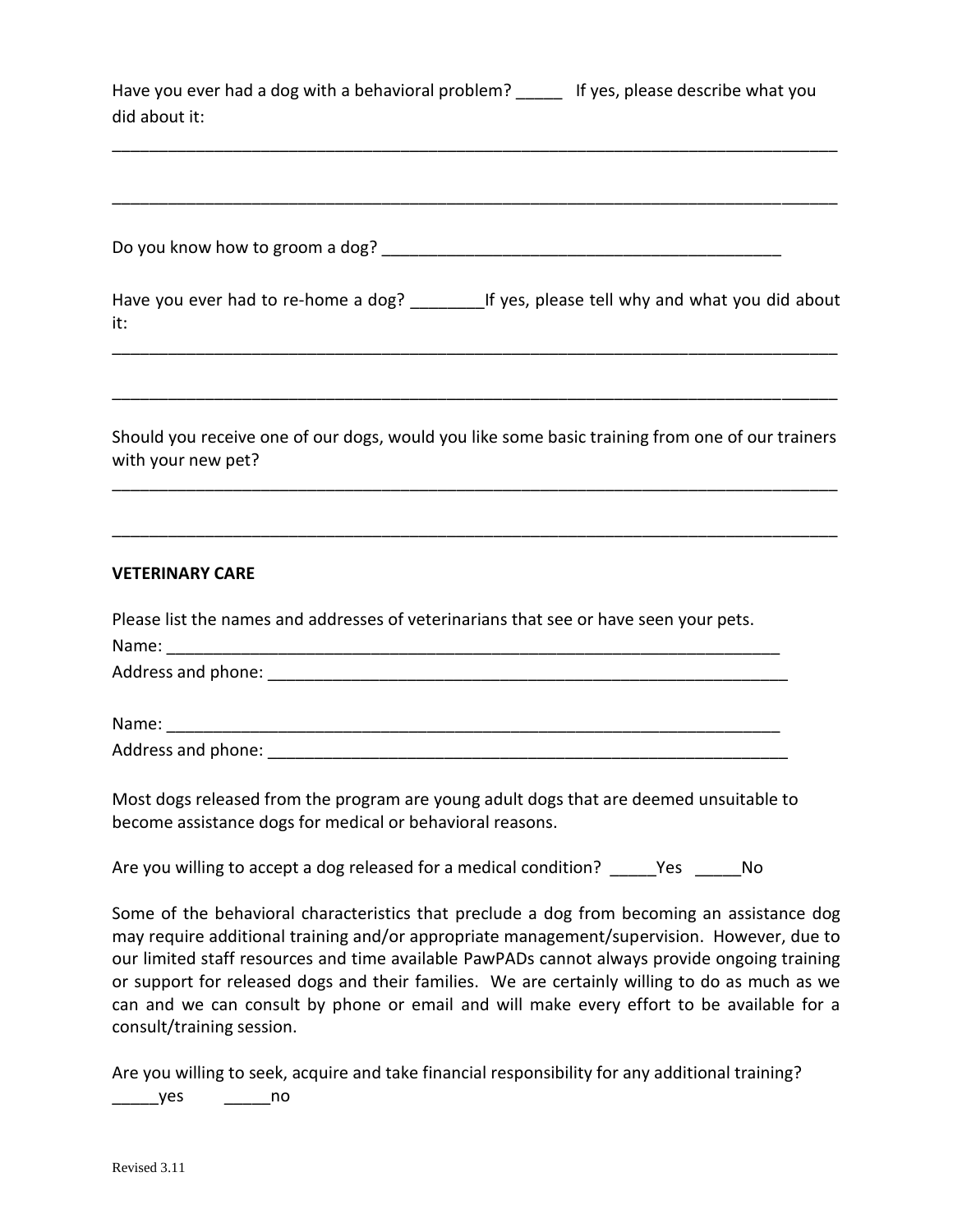Have you ever had a dog with a behavioral problem? \_\_\_\_\_ If yes, please describe what you did about it:

\_\_\_\_\_\_\_\_\_\_\_\_\_\_\_\_\_\_\_\_\_\_\_\_\_\_\_\_\_\_\_\_\_\_\_\_\_\_\_\_\_\_\_\_\_\_\_\_\_\_\_\_\_\_\_\_\_\_\_\_\_\_\_\_\_\_\_\_\_\_\_\_\_\_\_\_\_\_

\_\_\_\_\_\_\_\_\_\_\_\_\_\_\_\_\_\_\_\_\_\_\_\_\_\_\_\_\_\_\_\_\_\_\_\_\_\_\_\_\_\_\_\_\_\_\_\_\_\_\_\_\_\_\_\_\_\_\_\_\_\_\_\_\_\_\_\_\_\_\_\_\_\_\_\_\_\_

| Do you know how to groom a dog? |  |
|---------------------------------|--|
|                                 |  |

Have you ever had to re-home a dog? If yes, please tell why and what you did about it: \_\_\_\_\_\_\_\_\_\_\_\_\_\_\_\_\_\_\_\_\_\_\_\_\_\_\_\_\_\_\_\_\_\_\_\_\_\_\_\_\_\_\_\_\_\_\_\_\_\_\_\_\_\_\_\_\_\_\_\_\_\_\_\_\_\_\_\_\_\_\_\_\_\_\_\_\_\_

Should you receive one of our dogs, would you like some basic training from one of our trainers with your new pet?

\_\_\_\_\_\_\_\_\_\_\_\_\_\_\_\_\_\_\_\_\_\_\_\_\_\_\_\_\_\_\_\_\_\_\_\_\_\_\_\_\_\_\_\_\_\_\_\_\_\_\_\_\_\_\_\_\_\_\_\_\_\_\_\_\_\_\_\_\_\_\_\_\_\_\_\_\_\_

\_\_\_\_\_\_\_\_\_\_\_\_\_\_\_\_\_\_\_\_\_\_\_\_\_\_\_\_\_\_\_\_\_\_\_\_\_\_\_\_\_\_\_\_\_\_\_\_\_\_\_\_\_\_\_\_\_\_\_\_\_\_\_\_\_\_\_\_\_\_\_\_\_\_\_\_\_\_

\_\_\_\_\_\_\_\_\_\_\_\_\_\_\_\_\_\_\_\_\_\_\_\_\_\_\_\_\_\_\_\_\_\_\_\_\_\_\_\_\_\_\_\_\_\_\_\_\_\_\_\_\_\_\_\_\_\_\_\_\_\_\_\_\_\_\_\_\_\_\_\_\_\_\_\_\_\_

## **VETERINARY CARE**

| Please list the names and addresses of veterinarians that see or have seen your pets. |
|---------------------------------------------------------------------------------------|
| Name:                                                                                 |
| Address and phone: Address and phone:                                                 |
| Name: <u>__________</u>                                                               |
| Address and phone:                                                                    |

Most dogs released from the program are young adult dogs that are deemed unsuitable to become assistance dogs for medical or behavioral reasons.

Are you willing to accept a dog released for a medical condition? Thes Theory of No

Some of the behavioral characteristics that preclude a dog from becoming an assistance dog may require additional training and/or appropriate management/supervision. However, due to our limited staff resources and time available PawPADs cannot always provide ongoing training or support for released dogs and their families. We are certainly willing to do as much as we can and we can consult by phone or email and will make every effort to be available for a consult/training session.

Are you willing to seek, acquire and take financial responsibility for any additional training?

\_\_\_\_\_yes \_\_\_\_\_no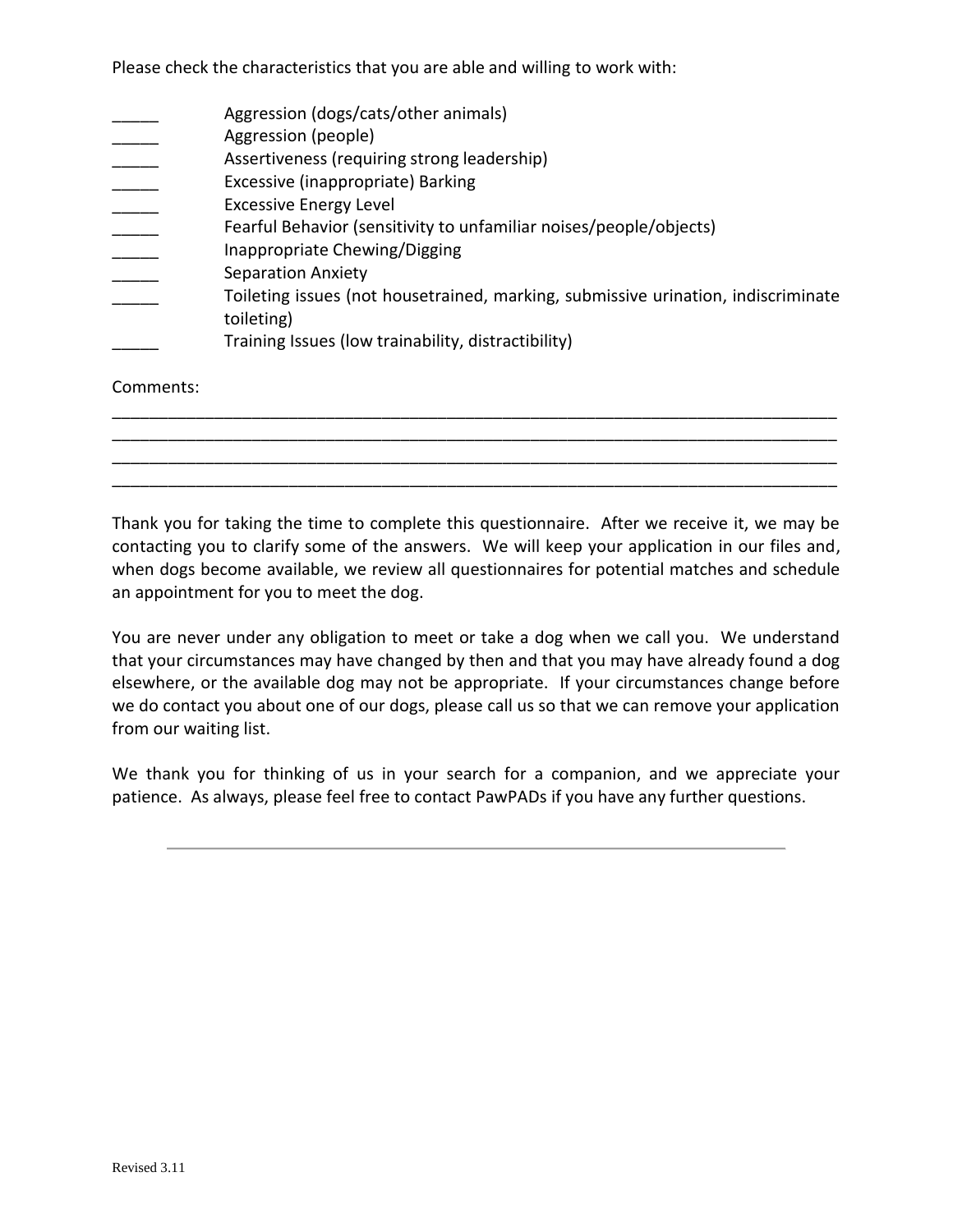Please check the characteristics that you are able and willing to work with:

|           | Aggression (dogs/cats/other animals)<br>Aggression (people)                                     |
|-----------|-------------------------------------------------------------------------------------------------|
|           | Assertiveness (requiring strong leadership)                                                     |
|           | Excessive (inappropriate) Barking                                                               |
|           | <b>Excessive Energy Level</b>                                                                   |
|           | Fearful Behavior (sensitivity to unfamiliar noises/people/objects)                              |
|           | Inappropriate Chewing/Digging                                                                   |
|           | <b>Separation Anxiety</b>                                                                       |
|           | Toileting issues (not housetrained, marking, submissive urination, indiscriminate<br>toileting) |
|           | Training Issues (low trainability, distractibility)                                             |
| Comments: |                                                                                                 |

Thank you for taking the time to complete this questionnaire. After we receive it, we may be contacting you to clarify some of the answers. We will keep your application in our files and, when dogs become available, we review all questionnaires for potential matches and schedule an appointment for you to meet the dog.

\_\_\_\_\_\_\_\_\_\_\_\_\_\_\_\_\_\_\_\_\_\_\_\_\_\_\_\_\_\_\_\_\_\_\_\_\_\_\_\_\_\_\_\_\_\_\_\_\_\_\_\_\_\_\_\_\_\_\_\_\_\_\_\_\_\_\_\_\_\_\_\_\_\_\_\_\_\_ \_\_\_\_\_\_\_\_\_\_\_\_\_\_\_\_\_\_\_\_\_\_\_\_\_\_\_\_\_\_\_\_\_\_\_\_\_\_\_\_\_\_\_\_\_\_\_\_\_\_\_\_\_\_\_\_\_\_\_\_\_\_\_\_\_\_\_\_\_\_\_\_\_\_\_\_\_\_ \_\_\_\_\_\_\_\_\_\_\_\_\_\_\_\_\_\_\_\_\_\_\_\_\_\_\_\_\_\_\_\_\_\_\_\_\_\_\_\_\_\_\_\_\_\_\_\_\_\_\_\_\_\_\_\_\_\_\_\_\_\_\_\_\_\_\_\_\_\_\_\_\_\_\_\_\_\_ \_\_\_\_\_\_\_\_\_\_\_\_\_\_\_\_\_\_\_\_\_\_\_\_\_\_\_\_\_\_\_\_\_\_\_\_\_\_\_\_\_\_\_\_\_\_\_\_\_\_\_\_\_\_\_\_\_\_\_\_\_\_\_\_\_\_\_\_\_\_\_\_\_\_\_\_\_\_

You are never under any obligation to meet or take a dog when we call you. We understand that your circumstances may have changed by then and that you may have already found a dog elsewhere, or the available dog may not be appropriate. If your circumstances change before we do contact you about one of our dogs, please call us so that we can remove your application from our waiting list.

We thank you for thinking of us in your search for a companion, and we appreciate your patience. As always, please feel free to contact PawPADs if you have any further questions.